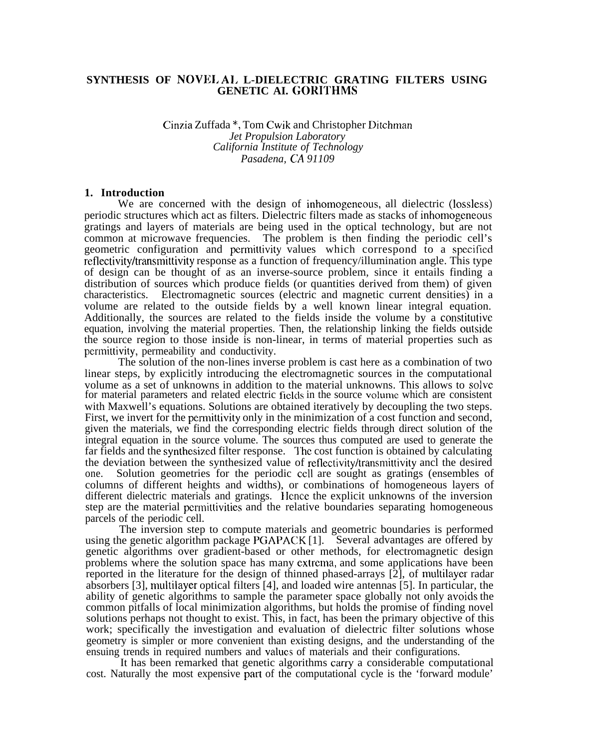# **SYNTHESIS OF NOVEI. AI. L-DIELECTRIC GRATING FILTERS USING GENETIC AI. GORITHMS**

Cinzia Zuffada \*, Tom Cwik and Christopher Ditchman *Jet Propulsion Laboratory California Institute of Technology Pasadena, CA 91109*

#### **1. Introduction**

We are concerned with the design of inhomogeneous, all dielectric (lossless) periodic structures which act as filters. Dielectric filters made as stacks of inhomogeneous gratings and layers of materials are being used in the optical technology, but are not common at microwave frequencies. The problem is then finding the periodic cell's geometric configuration and permittivity values which correspond to a spcciflcd reflectivity/transmittivity response as a function of frequency/illumination angle. This type of design can be thought of as an inverse-source problem, since it entails finding a distribution of sources which produce fields (or quantities derived from them) of given characteristics. Electromagnetic sources (electric and magnetic current densities) in a volume are related to the outside fields by a well known linear integral equation. Additionally, the sources are related to the fields inside the volume by a constitutive equation, involving the material properties. Then, the relationship linking the fields outside the source region to those inside is non-linear, in terms of material properties such as permittivity, permeability and conductivity.

The solution of the non-lines inverse problem is cast here as a combination of two linear steps, by explicitly introducing the electromagnetic sources in the computational volume as a set of unknowns in addition to the material unknowns. This allows to solve for material parameters and related electric fields in the source volume which are consistent with Maxwell's equations. Solutions are obtained iteratively by decoupling the two steps. First, we invert for the permittivity only in the minimization of a cost function and second, given the materials, we find the corresponding electric fields through direct solution of the integral equation in the source volume. The sources thus computed are used to generate the far fields and the synthesized filter response. The cost function is obtained by calculating the deviation between the synthesized value of reflectivity/transnlittivity ancl the desired one. Solution geometries for the periodic CCII are sought as gratings (ensembles of columns of different heights and widths), or combinations of homogeneous layers of different dielectric materials and gratings. I1cnce the explicit unknowns of the inversion step are the material permittivities and the relative boundaries separating homogeneous parcels of the periodic cell.

The inversion step to compute materials and geometric boundaries is performed using the genetic algorithm package PGAPACK [1]. Several advantages are offered by genetic algorithms over gradient-based or other methods, for electromagnetic design problems where the solution space has many extrcma, and some applications have been reported in the literature for the design of thinned phased-arrays [2], of multilayer radar absorbers [3], multilayer optical filters [4], and loaded wire antennas [5]. In particular, the ability of genetic algorithms to sample the parameter space globally not only avoids the common pitfalls of local minimization algorithms, but holds the promise of finding novel solutions perhaps not thought to exist. This, in fact, has been the primary objective of this work; specifically the investigation and evaluation of dielectric filter solutions whose geometry is simpler or more convenient than existing designs, and the understanding of the ensuing trends in required numbers and values of materials and their configurations.

It has been remarked that genetic algorithms carry a considerable computational cost. Naturally the most expensive part of the computational cycle is the 'forward module'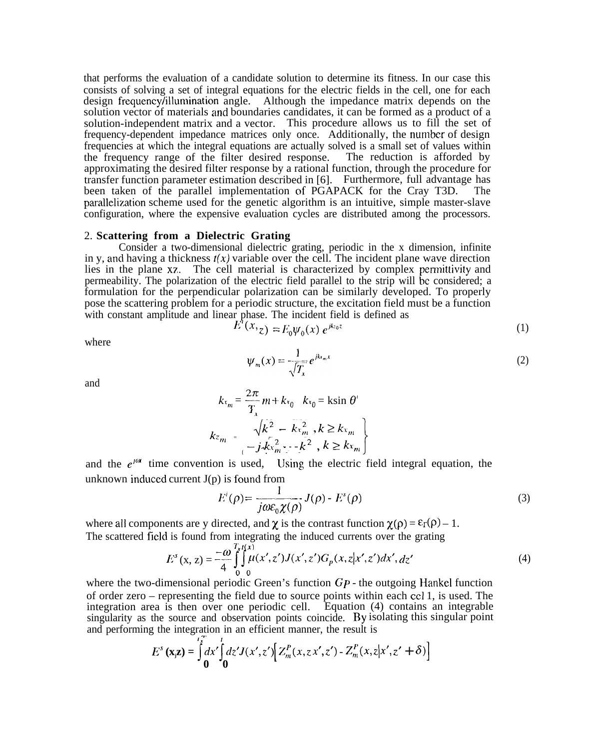that performs the evaluation of a candidate solution to determine its fitness. In our case this consists of solving a set of integral equations for the electric fields in the cell, one for each design frequency/illumination angle. Although the impedance matrix depends on the solution vector of materials and boundaries candidates, it can be formed as a product of a solution-independent matrix and a vector. This procedure allows us to fill the set of frequency-dependent impedance matrices only once. Additionally, the number of design frequencies at which the integral equations are actually solved is a small set of values within the frequency range of the filter desired response. The reduction is afforded by approximating the desired filter response by a rational function, through the procedure for transfer function parameter estimation described in [6]. Furthermore, full advantage has been taken of the parallel implementation of PGAPACK for the Cray T3D. The parallelization scheme used for the genetic algorithm is an intuitive, simple master-slave configuration, where the expensive evaluation cycles are distributed among the processors.

# 2. **Scattering from a Dielectric Grating**

Consider a two-dimensional dielectric grating, periodic in the x dimension, infinite in y, and having a thickness  $t(x)$  variable over the cell. The incident plane wave direction lies in the plane x7. The cell material is characterized by complex permittivity and permeability. The polarization of the electric field parallel to the strip will bc considered; a formulation for the perpendicular polarization can be similarly developed. To properly pose the scattering problem for a periodic structure, the excitation field must be a function with constant amplitude and linear phase. The incident field is defined as

$$
E'(x, z) = E_0 \psi_0(x) e^{jk_0 z} \tag{1}
$$

where

$$
\Psi_m(x) = \frac{1}{\sqrt{T_x}} e^{jkx_m x}
$$
 (2)

and

$$
k_{x_m} = \frac{2\pi}{T_x} m + k_{x_0} \quad k_{x_0} = \text{ksin } \theta'
$$
  

$$
k_{z_m} = \frac{\sqrt{k^2 - k_{x_m}^2}, k \ge k_{x_m}}{-j\sqrt{k_{x_m}^2 - k^2}, k \ge k_{x_m}}
$$

and the  $e^{i\alpha t}$  time convention is used, Using the electric field integral equation, the unknown induced current  $J(p)$  is found from

$$
E^{i}(\rho) = \frac{1}{j\omega\varepsilon_{0}\chi(\rho)}J(\rho) - E^{s}(\rho)
$$
\n(3)

where all components are y directed, and  $\chi$  is the contrast function  $\chi(\rho) = \varepsilon_r(\rho) - 1$ . The scattered field is found from integrating the induced currents over the grating

$$
E^{s}(x, z) = \frac{-\omega}{4} \int_{0}^{T_{x}t(x)} \mu(x', z') J(x', z') G_{p}(x, z|x', z') dx', dz'
$$
 (4)

where the two-dimensional periodic Green's function *Gp -* the outgoing Hankel function of order zero – representing the field due to source points within each cel 1, is used. The integration area is then over one periodic cell. Equation (4) contains an integrable singularity as the source and observation points coincide. By isolating this singular point and performing the integration in an efficient manner, the result is

$$
E^{s}(\mathbf{x}_{j}\mathbf{z}) = \int_{0}^{t_{k}^{T}} dx' \int_{0}^{t} dz' J(x', z') \Big[ Z_{m}^{P}(x, z, x', z') - Z_{m}^{P}(x, z | x', z' + \delta) \Big]
$$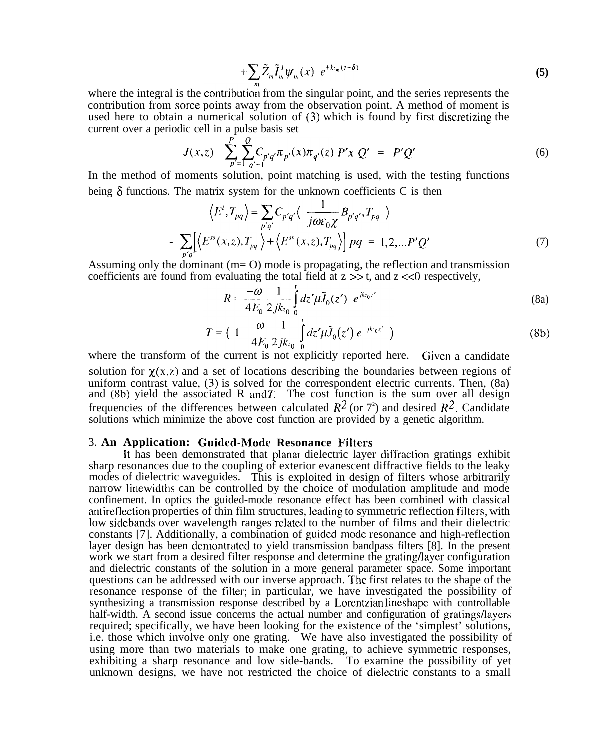$$
+\sum_{m}\widetilde{Z}_{m}\widetilde{I}_{m}^{\pm}\psi_{m}(x) e^{\mp k_{2m}(z+\delta)} \tag{5}
$$

where the integral is the contribution from the singular point, and the series represents the contribution from sorce points away from the observation point. A method of moment is used here to obtain a numerical solution of (3) which is found by first discretizing the current over a periodic cell in a pulse basis set

$$
J(x,z) = \sum_{p'=1}^{P} \sum_{q'=1}^{Q} C_{p'q'} \pi_{p'}(x) \pi_{q'}(z) P'x Q' = P'Q'
$$
 (6)

In the method of moments solution, point matching is used, with the testing functions being  $\delta$  functions. The matrix system for the unknown coefficients C is then

$$
\langle E^i, T_{pq} \rangle = \sum_{p'q'} C_{p'q'} \langle \frac{1}{j\omega \varepsilon_0 \chi} B_{p'q'}, T_{pq} \rangle
$$
  
- 
$$
\sum_{p'q'} [\langle E^{ss}(x, z), T_{pq} \rangle + \langle E^{sn}(x, z), T_{pq} \rangle] pq = 1, 2, \dots, P'Q'
$$
 (7)

Assuming only the dominant (m= O) mode is propagating, the reflection and transmission coefficients are found from evaluating the total field at  $z \gg t$ , and  $z \ll 0$  respectively,

$$
R = \frac{-\omega}{4E_0} \frac{1}{2jk_{z_0}} \int_0^1 dz' \mu \tilde{J}_0(z') e^{jk_{z_0}z'}
$$
 (8a)  

$$
T = \left(1 - \frac{\omega}{4E_0} \frac{1}{2jk_{z_0}} \int_0^1 dz' \mu \tilde{J}_0(z') e^{-jk_{z_0}z'}\right)
$$
 (8b)

where the transform of the current is not explicitly reported here. Given a candidate solution for  $\gamma(x,z)$  and a set of locations describing the boundaries between regions of uniform contrast value, (3) is solved for the correspondent electric currents. Then, (8a) and (8b) yield the associated R and T. The cost function is the sum over all design frequencies of the differences between calculated  $R^2$  (or  $7^2$ ) and desired  $R^2$ . Candidate solutions which minimize the above cost function are provided by a genetic algorithm.

#### 3. **An Application: Guiclccl-Mode Resonance Nilters**

It has been demonstrated that planar dielectric layer diffraction gratings exhibit sharp resonances due to the coupling of exterior evanescent diffractive fields to the leaky modes of dielectric waveguides. This is exploited in design of filters whose arbitrarily narrow linewidths can be controlled by the choice of modulation amplitude and mode confinement. In optics the guided-mode resonance effect has been combined with classical antireflection properties of thin film structures, leading to symmetric reflection filters, with low sidebands over wavelength ranges related to the number of films and their dielectric constants [7]. Additionally, a combination of guided-mocie resonance and high-reflection layer design has been demontratcd to yield transmission bandpass filters [8]. In the present work we start from a desired filter response and determine the grating/layer configuration and dielectric constants of the solution in a more general parameter space. Some important questions can be addressed with our inverse approach. "l'he first relates to the shape of the resonance response of the fiiter; in particular, we have investigated the possibility of synthesizing a transmission response described by a Lorentzian lineshape with controllable half-width. A second issue concerns the actual number and configuration of gratings/layers required; specifically, we have been looking for the existence of the 'simplest' solutions, i.e. those which involve only one grating. We have also investigated the possibility of using more than two materials to make one grating, to achieve symmetric responses, exhibiting a sharp resonance and low side-bands. To examine the possibility of yet unknown designs, we have not restricted the choice of dielectric constants to a small